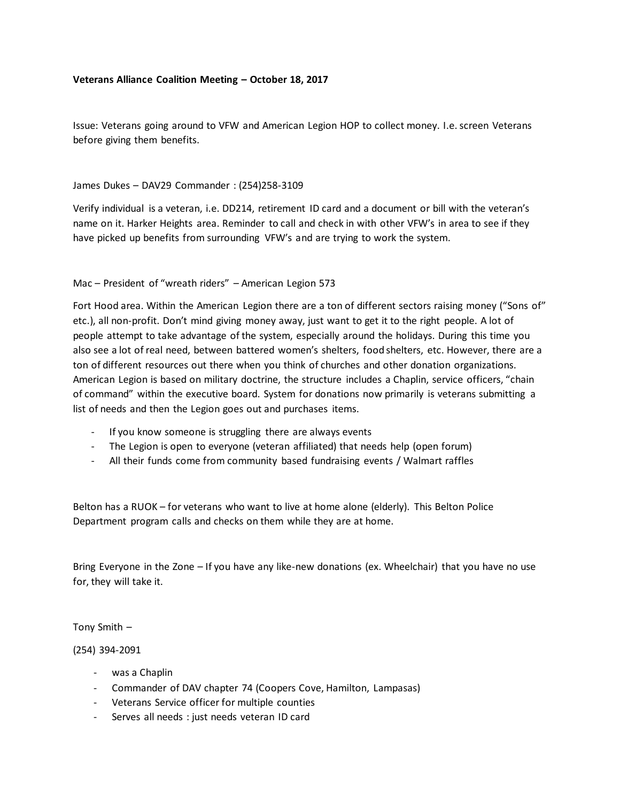## **Veterans Alliance Coalition Meeting – October 18, 2017**

Issue: Veterans going around to VFW and American Legion HOP to collect money. I.e. screen Veterans before giving them benefits.

## James Dukes – DAV29 Commander : (254)258-3109

Verify individual is a veteran, i.e. DD214, retirement ID card and a document or bill with the veteran's name on it. Harker Heights area. Reminder to call and check in with other VFW's in area to see if they have picked up benefits from surrounding VFW's and are trying to work the system.

# Mac – President of "wreath riders" – American Legion 573

Fort Hood area. Within the American Legion there are a ton of different sectors raising money ("Sons of" etc.), all non-profit. Don't mind giving money away, just want to get it to the right people. A lot of people attempt to take advantage of the system, especially around the holidays. During this time you also see a lot of real need, between battered women's shelters, food shelters, etc. However, there are a ton of different resources out there when you think of churches and other donation organizations. American Legion is based on military doctrine, the structure includes a Chaplin, service officers, "chain of command" within the executive board. System for donations now primarily is veterans submitting a list of needs and then the Legion goes out and purchases items.

- If you know someone is struggling there are always events
- The Legion is open to everyone (veteran affiliated) that needs help (open forum)
- All their funds come from community based fundraising events / Walmart raffles

Belton has a RUOK – for veterans who want to live at home alone (elderly). This Belton Police Department program calls and checks on them while they are at home.

Bring Everyone in the Zone – If you have any like-new donations (ex. Wheelchair) that you have no use for, they will take it.

Tony Smith –

#### (254) 394-2091

- was a Chaplin
- Commander of DAV chapter 74 (Coopers Cove, Hamilton, Lampasas)
- Veterans Service officer for multiple counties
- Serves all needs : just needs veteran ID card